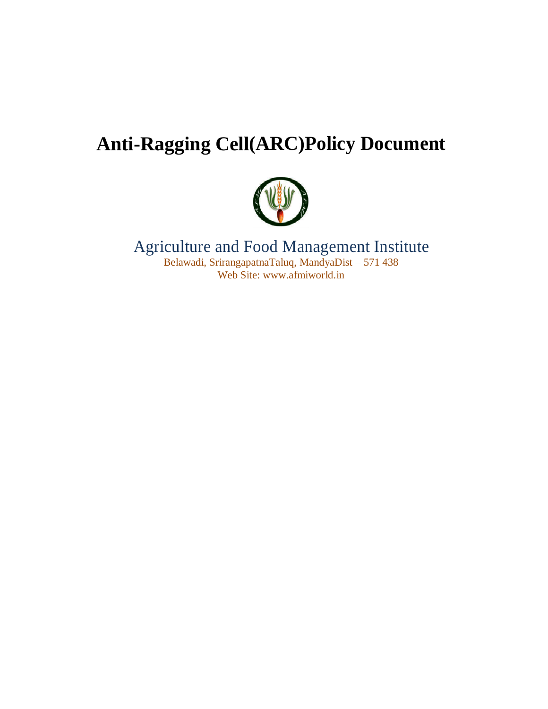# **Anti-Ragging Cell(ARC)Policy Document**



## Agriculture and Food Management Institute Belawadi, SrirangapatnaTaluq, MandyaDist – 571 438 Web Site: www.afmiworld.in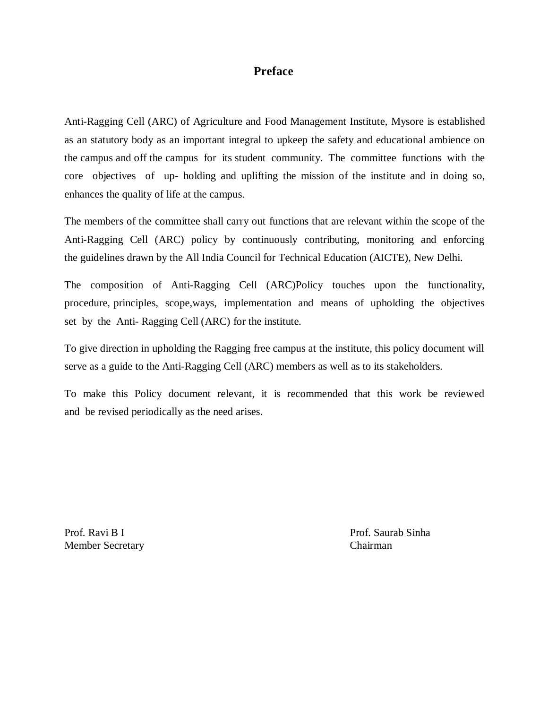#### **Preface**

Anti-Ragging Cell (ARC) of Agriculture and Food Management Institute, Mysore is established as an statutory body as an important integral to upkeep the safety and educational ambience on the campus and off the campus for its student community. The committee functions with the core objectives of up- holding and uplifting the mission of the institute and in doing so, enhances the quality of life at the campus.

The members of the committee shall carry out functions that are relevant within the scope of the Anti-Ragging Cell (ARC) policy by continuously contributing, monitoring and enforcing the guidelines drawn by the All India Council for Technical Education (AICTE), New Delhi.

The composition of Anti-Ragging Cell (ARC)Policy touches upon the functionality, procedure, principles, scope,ways, implementation and means of upholding the objectives set by the Anti- Ragging Cell (ARC) for the institute.

To give direction in upholding the Ragging free campus at the institute, this policy document will serve as a guide to the Anti-Ragging Cell (ARC) members as well as to its stakeholders.

To make this Policy document relevant, it is recommended that this work be reviewed and be revised periodically as the need arises.

Member Secretary Chairman

Prof. Ravi B I Prof. Saurab Sinha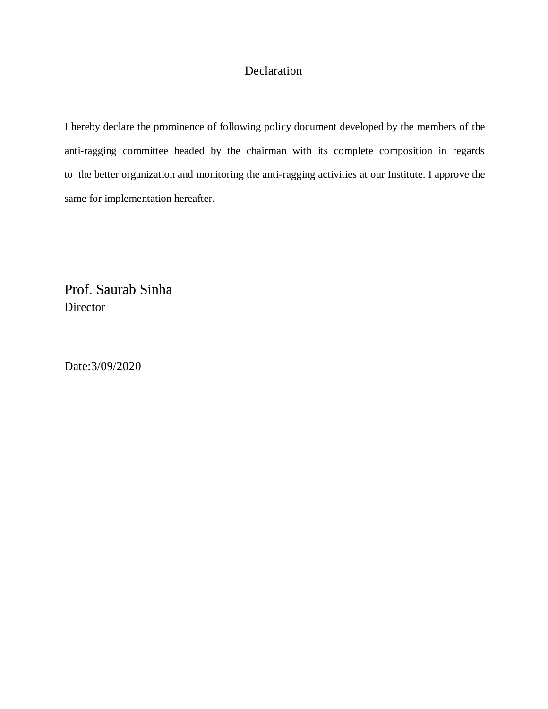## Declaration

I hereby declare the prominence of following policy document developed by the members of the anti-ragging committee headed by the chairman with its complete composition in regards to the better organization and monitoring the anti-ragging activities at our Institute. I approve the same for implementation hereafter.

Prof. Saurab Sinha **Director** 

Date:3/09/2020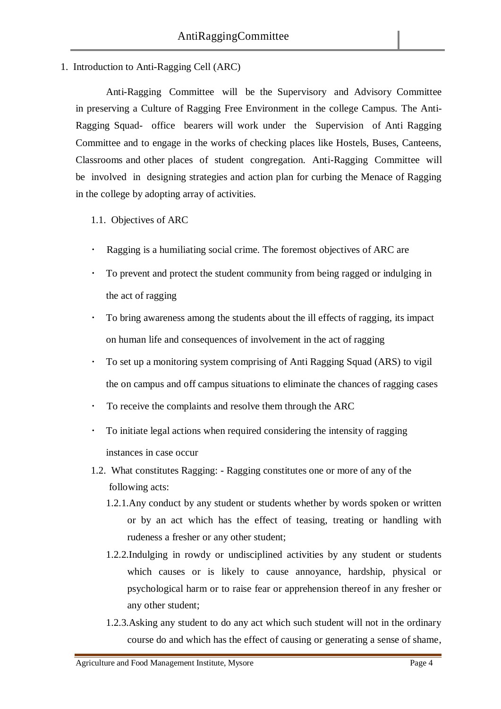1. Introduction to Anti-Ragging Cell (ARC)

Anti-Ragging Committee will be the Supervisory and Advisory Committee in preserving a Culture of Ragging Free Environment in the college Campus. The Anti-Ragging Squad- office bearers will work under the Supervision of Anti Ragging Committee and to engage in the works of checking places like Hostels, Buses, Canteens, Classrooms and other places of student congregation. Anti-Ragging Committee will be involved in designing strategies and action plan for curbing the Menace of Ragging in the college by adopting array of activities.

- 1.1. Objectives of ARC
- Ragging is a humiliating social crime. The foremost objectives of ARC are
- To prevent and protect the student community from being ragged or indulging in the act of ragging
- To bring awareness among the students about the ill effects of ragging, its impact on human life and consequences of involvement in the act of ragging
- To set up a monitoring system comprising of Anti Ragging Squad (ARS) to vigil the on campus and off campus situations to eliminate the chances of ragging cases
- To receive the complaints and resolve them through the ARC
- To initiate legal actions when required considering the intensity of ragging instances in case occur
- 1.2. What constitutes Ragging: Ragging constitutes one or more of any of the following acts:
	- 1.2.1.Any conduct by any student or students whether by words spoken or written or by an act which has the effect of teasing, treating or handling with rudeness a fresher or any other student;
	- 1.2.2.Indulging in rowdy or undisciplined activities by any student or students which causes or is likely to cause annoyance, hardship, physical or psychological harm or to raise fear or apprehension thereof in any fresher or any other student;
	- 1.2.3.Asking any student to do any act which such student will not in the ordinary course do and which has the effect of causing or generating a sense of shame,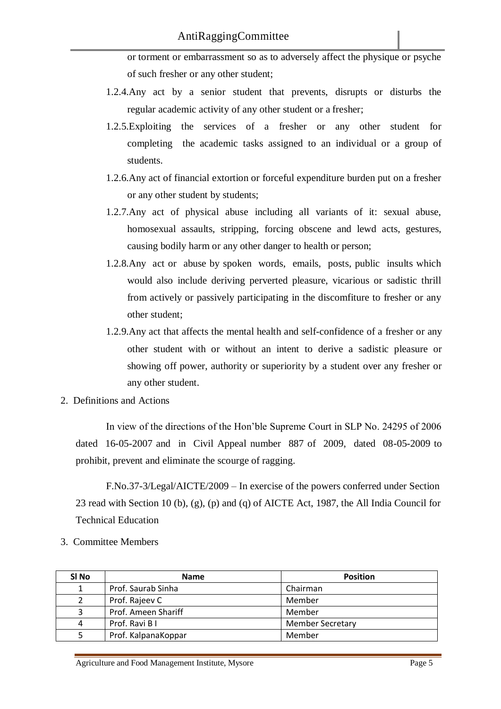or torment or embarrassment so as to adversely affect the physique or psyche of such fresher or any other student;

- 1.2.4.Any act by a senior student that prevents, disrupts or disturbs the regular academic activity of any other student or a fresher;
- 1.2.5.Exploiting the services of a fresher or any other student for completing the academic tasks assigned to an individual or a group of students.
- 1.2.6.Any act of financial extortion or forceful expenditure burden put on a fresher or any other student by students;
- 1.2.7.Any act of physical abuse including all variants of it: sexual abuse, homosexual assaults, stripping, forcing obscene and lewd acts, gestures, causing bodily harm or any other danger to health or person;
- 1.2.8.Any act or abuse by spoken words, emails, posts, public insults which would also include deriving perverted pleasure, vicarious or sadistic thrill from actively or passively participating in the discomfiture to fresher or any other student;
- 1.2.9.Any act that affects the mental health and self-confidence of a fresher or any other student with or without an intent to derive a sadistic pleasure or showing off power, authority or superiority by a student over any fresher or any other student.
- 2. Definitions and Actions

In view of the directions of the Hon'ble Supreme Court in SLP No. 24295 of 2006 dated 16-05-2007 and in Civil Appeal number 887 of 2009, dated 08-05-2009 to prohibit, prevent and eliminate the scourge of ragging.

F.No.37-3/Legal/AICTE/2009 – In exercise of the powers conferred under Section 23 read with Section 10 (b), (g), (p) and (q) of AICTE Act, 1987, the All India Council for Technical Education

3. Committee Members

| SI No | <b>Name</b>         | <b>Position</b>         |
|-------|---------------------|-------------------------|
|       | Prof. Saurab Sinha  | Chairman                |
|       | Prof. Rajeev C      | Member                  |
| 3     | Prof. Ameen Shariff | Member                  |
| 4     | Prof. Ravi B I      | <b>Member Secretary</b> |
| 5     | Prof. KalpanaKoppar | Member                  |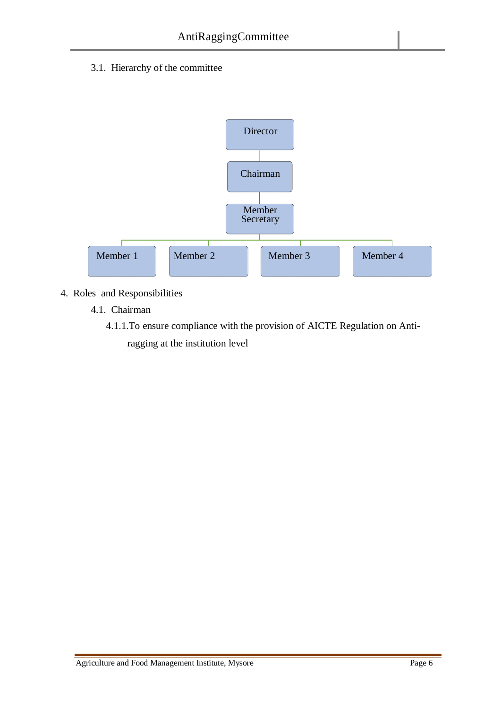3.1. Hierarchy of the committee



- 4. Roles and Responsibilities
	- 4.1. Chairman
		- 4.1.1.To ensure compliance with the provision of AICTE Regulation on Antiragging at the institution level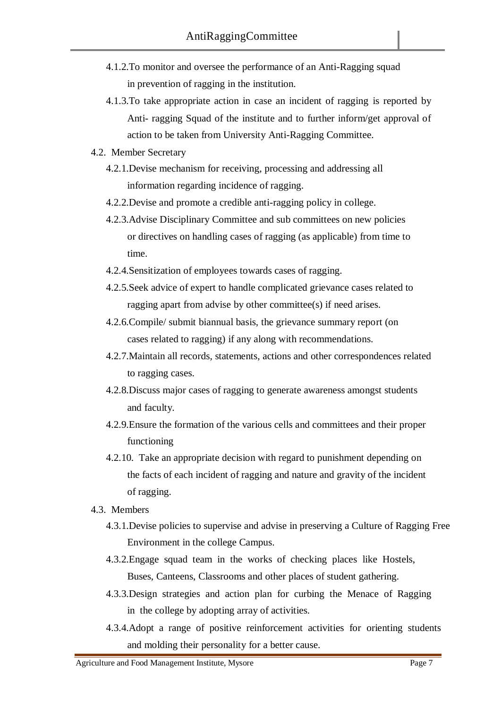- 4.1.2.To monitor and oversee the performance of an Anti-Ragging squad in prevention of ragging in the institution.
- 4.1.3.To take appropriate action in case an incident of ragging is reported by Anti- ragging Squad of the institute and to further inform/get approval of action to be taken from University Anti-Ragging Committee.
- 4.2. Member Secretary
	- 4.2.1.Devise mechanism for receiving, processing and addressing all information regarding incidence of ragging.
	- 4.2.2.Devise and promote a credible anti-ragging policy in college.
	- 4.2.3.Advise Disciplinary Committee and sub committees on new policies or directives on handling cases of ragging (as applicable) from time to time.
	- 4.2.4.Sensitization of employees towards cases of ragging.
	- 4.2.5.Seek advice of expert to handle complicated grievance cases related to ragging apart from advise by other committee(s) if need arises.
	- 4.2.6.Compile/ submit biannual basis, the grievance summary report (on cases related to ragging) if any along with recommendations.
	- 4.2.7.Maintain all records, statements, actions and other correspondences related to ragging cases.
	- 4.2.8.Discuss major cases of ragging to generate awareness amongst students and faculty.
	- 4.2.9.Ensure the formation of the various cells and committees and their proper functioning
	- 4.2.10. Take an appropriate decision with regard to punishment depending on the facts of each incident of ragging and nature and gravity of the incident of ragging.
- 4.3. Members
	- 4.3.1.Devise policies to supervise and advise in preserving a Culture of Ragging Free Environment in the college Campus.
	- 4.3.2.Engage squad team in the works of checking places like Hostels, Buses, Canteens, Classrooms and other places of student gathering.
	- 4.3.3.Design strategies and action plan for curbing the Menace of Ragging in the college by adopting array of activities.
	- 4.3.4.Adopt a range of positive reinforcement activities for orienting students and molding their personality for a better cause.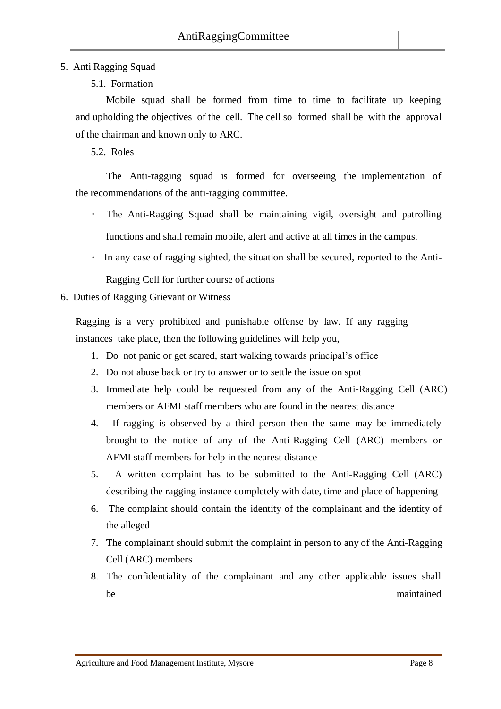### 5. Anti Ragging Squad

5.1. Formation

Mobile squad shall be formed from time to time to facilitate up keeping and upholding the objectives of the cell. The cell so formed shall be with the approval of the chairman and known only to ARC.

5.2. Roles

The Anti-ragging squad is formed for overseeing the implementation of the recommendations of the anti-ragging committee.

- The Anti-Ragging Squad shall be maintaining vigil, oversight and patrolling functions and shall remain mobile, alert and active at all times in the campus.
- In any case of ragging sighted, the situation shall be secured, reported to the Anti-

Ragging Cell for further course of actions

## 6. Duties of Ragging Grievant or Witness

Ragging is a very prohibited and punishable offense by law. If any ragging instances take place, then the following guidelines will help you,

- 1. Do not panic or get scared, start walking towards principal's office
- 2. Do not abuse back or try to answer or to settle the issue on spot
- 3. Immediate help could be requested from any of the Anti-Ragging Cell (ARC) members or AFMI staff members who are found in the nearest distance
- 4. If ragging is observed by a third person then the same may be immediately brought to the notice of any of the Anti-Ragging Cell (ARC) members or AFMI staff members for help in the nearest distance
- 5. A written complaint has to be submitted to the Anti-Ragging Cell (ARC) describing the ragging instance completely with date, time and place of happening
- 6. The complaint should contain the identity of the complainant and the identity of the alleged
- 7. The complainant should submit the complaint in person to any of the Anti-Ragging Cell (ARC) members
- 8. The confidentiality of the complainant and any other applicable issues shall be maintained by maintained by the maintained by the maintained by the maintained by the maintained by the maintained by the maintained by the maintained by the maintained by the maintained by the maintained by the maintai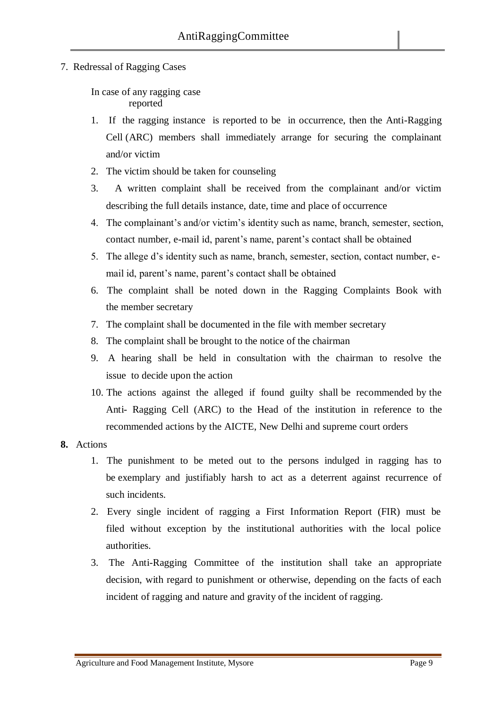7. Redressal of Ragging Cases

In case of any ragging case reported

- 1. If the ragging instance is reported to be in occurrence, then the Anti-Ragging Cell (ARC) members shall immediately arrange for securing the complainant and/or victim
- 2. The victim should be taken for counseling
- 3. A written complaint shall be received from the complainant and/or victim describing the full details instance, date, time and place of occurrence
- 4. The complainant's and/or victim's identity such as name, branch, semester, section, contact number, e-mail id, parent's name, parent's contact shall be obtained
- 5. The allege d's identity such as name, branch, semester, section, contact number, email id, parent's name, parent's contact shall be obtained
- 6. The complaint shall be noted down in the Ragging Complaints Book with the member secretary
- 7. The complaint shall be documented in the file with member secretary
- 8. The complaint shall be brought to the notice of the chairman
- 9. A hearing shall be held in consultation with the chairman to resolve the issue to decide upon the action
- 10. The actions against the alleged if found guilty shall be recommended by the Anti- Ragging Cell (ARC) to the Head of the institution in reference to the recommended actions by the AICTE, New Delhi and supreme court orders

#### **8.** Actions

- 1. The punishment to be meted out to the persons indulged in ragging has to be exemplary and justifiably harsh to act as a deterrent against recurrence of such incidents.
- 2. Every single incident of ragging a First Information Report (FIR) must be filed without exception by the institutional authorities with the local police authorities.
- 3. The Anti-Ragging Committee of the institution shall take an appropriate decision, with regard to punishment or otherwise, depending on the facts of each incident of ragging and nature and gravity of the incident of ragging.